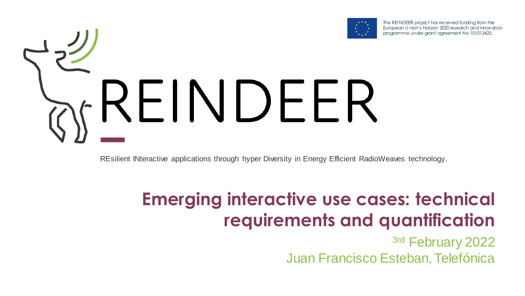

The REI NDEER project has received funding from the European U nion's Horizon 2020 research and innovation programme under grant agreement No 101013425.

# REINDEER)

REsilient INteractive applications through hyper Diversity in Energy Efficient RadioWeaves technology.

### **Emerging interactive use cases: technical requirements and quantification**

3rd February 2022 Juan Francisco Esteban, Telefónica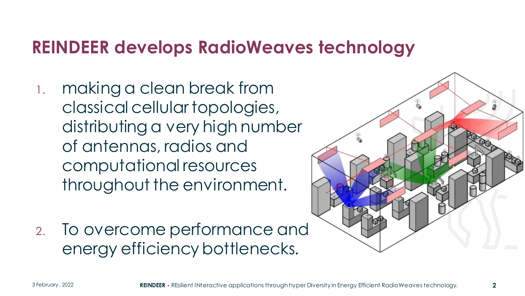#### **REINDEER develops RadioWeaves technology**

- 1. making a clean break from classical cellular topologies, distributing a very high number of antennas, radios and computational resources throughout the environment.
- 2. To overcome performance and energy efficiency bottlenecks.

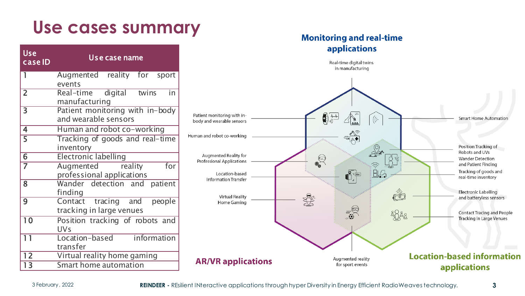#### **Use cases summary**

| <b>Use</b><br>case ID   | Us e case name                                            |  |  |  |  |  |  |  |  |  |  |
|-------------------------|-----------------------------------------------------------|--|--|--|--|--|--|--|--|--|--|
| 1                       | Augmented reality for sport<br>events                     |  |  |  |  |  |  |  |  |  |  |
| $\overline{2}$          | Real-time digital<br>twins<br>in<br>manufacturing         |  |  |  |  |  |  |  |  |  |  |
| $\overline{\mathsf{3}}$ | Patient monitoring with in-body<br>and wearable sensors   |  |  |  |  |  |  |  |  |  |  |
| 4                       | Human and robot co-working                                |  |  |  |  |  |  |  |  |  |  |
| 5                       | Tracking of goods and real-time<br>inventory              |  |  |  |  |  |  |  |  |  |  |
| $\overline{6}$          | <b>Electronic labelling</b>                               |  |  |  |  |  |  |  |  |  |  |
| $\overline{7}$          | for<br>Augmented reality<br>professional applications     |  |  |  |  |  |  |  |  |  |  |
| 8                       | Wander detection and<br>patient<br>finding                |  |  |  |  |  |  |  |  |  |  |
| 9                       | Contact tracing and<br>people<br>tracking in large venues |  |  |  |  |  |  |  |  |  |  |
| $\overline{10}$         | Position tracking of robots and<br>UVs                    |  |  |  |  |  |  |  |  |  |  |
| $1\overline{1}$         | information<br>Location-based<br>transfer                 |  |  |  |  |  |  |  |  |  |  |
| $\overline{12}$         | Virtual reality home gaming                               |  |  |  |  |  |  |  |  |  |  |
| 13                      | Smart home automation                                     |  |  |  |  |  |  |  |  |  |  |

#### **Monitoring and real-time** applications

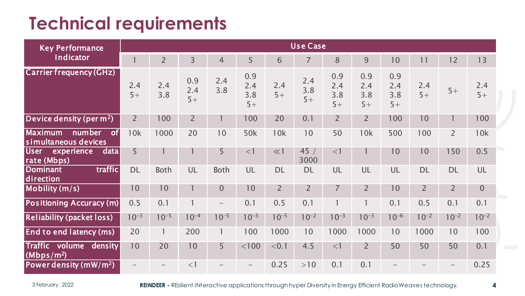#### **Technical requirements**

| <b>Key Performance</b>                                                     | <b>Use Case</b> |                |                    |                          |                           |                |                    |                           |                           |                           |                |                          |             |
|----------------------------------------------------------------------------|-----------------|----------------|--------------------|--------------------------|---------------------------|----------------|--------------------|---------------------------|---------------------------|---------------------------|----------------|--------------------------|-------------|
| <b>Indicator</b>                                                           |                 | $\overline{2}$ | $\overline{3}$     | $\overline{4}$           | 5                         | 6              | $\overline{7}$     | 8                         | 9                         | 10                        | 11             | 12                       | 13          |
| <b>Carrier frequency (GHz)</b>                                             | 2.4<br>$5+$     | 2.4<br>3.8     | 0.9<br>2.4<br>$5+$ | 2.4<br>3.8               | 0.9<br>2.4<br>3.8<br>$5+$ | 2.4<br>$5+$    | 2.4<br>3.8<br>$5+$ | 0.9<br>2.4<br>3.8<br>$5+$ | 0.9<br>2.4<br>3.8<br>$5+$ | 0.9<br>2.4<br>3.8<br>$5+$ | 2.4<br>$5+$    | $5+$                     | 2.4<br>$5+$ |
| Device density (per $m2$ )                                                 | $\overline{2}$  | 100            | $\overline{2}$     |                          | 100                       | 20             | 0.1                | $\overline{2}$            | $\overline{2}$            | 100                       | 10             |                          | 100         |
| <b>Maximum</b><br>$\overline{\text{of}}$<br>number<br>simultaneous devices | 10k             | 1000           | 20                 | 10                       | 50k                       | 10k            | 10                 | 50                        | 10k                       | 500                       | 100            | $\overline{2}$           | 10k         |
| <b>User</b><br>experience<br>data<br>rate (Mbps)                           | 5               |                |                    | 5                        | $<$ ]                     | << 1           | 45/<br>3000        | $<$ ]                     |                           | 10                        | 10             | 150                      | 0.5         |
| traffic<br><b>Dominant</b><br>direction                                    | <b>DL</b>       | <b>Both</b>    | UL                 | Both                     | UL                        | <b>DL</b>      | <b>DL</b>          | UL                        | UL                        | UL                        | <b>DL</b>      | <b>DL</b>                | UL          |
| Mobility (m/s)                                                             | 10              | 10             |                    | $\mathbf{0}$             | 10                        | $\overline{2}$ | $\overline{2}$     | $\overline{7}$            | $\overline{2}$            | 10                        | $\overline{2}$ | $\overline{2}$           | $\mathbf 0$ |
| Positioning Accuracy (m)                                                   | 0.5             | 0.1            |                    | $\overline{\phantom{m}}$ | 0.1                       | 0.5            | 0.1                |                           |                           | 0.1                       | 0.5            | 0.1                      | 0.1         |
| <b>Reliability (packet loss)</b>                                           | $10^{-3}$       | $10^{-5}$      | $10^{-4}$          | $10^{-5}$                | $10^{-3}$                 | $10^{-5}$      | $10^{-2}$          | $10^{-3}$                 | $10^{-3}$                 | $10^{-6}$                 | $10^{-2}$      | $10^{-2}$                | $10^{-2}$   |
| <b>End to end latency (ms)</b>                                             | 20              | 1              | 200                | 1                        | 100                       | 1000           | 10                 | 1000                      | 1000                      | 10                        | 1000           | 10                       | 100         |
| Traffic volume<br>density<br>(Mbps/m <sup>2</sup> )                        | 10              | 20             | 10                 | 5                        | $<$ 100 $\,$              | < 0.1          | 4.5                | $<$ ]                     | $\overline{2}$            | 50                        | 50             | 50                       | 0.1         |
| Power density (mW/m <sup>2</sup> )                                         |                 |                | $<$ 1              |                          |                           | 0.25           | >10                | 0.1                       | 0.1                       |                           |                | $\overline{\phantom{0}}$ | 0.25        |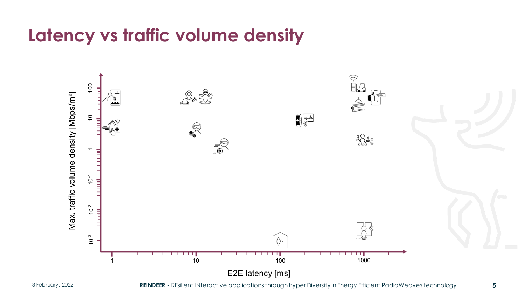#### **Latency vs traffic volume density**

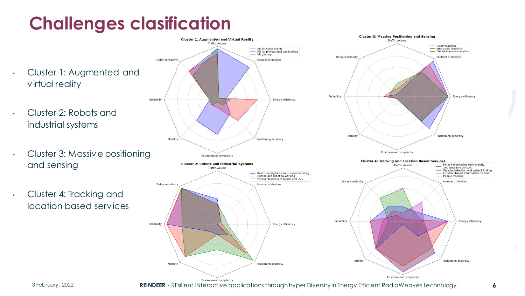# **Challenges clasification**

- Cluster 1: Augmented and virtual reality
- Cluster 2: Robots and industrial systems
- Cluster 3: Massive positioning and sensing
- Cluster 4: Tracking and location based services



3 February, 2022 **REINDEER -** REsilient INteractive applications through hyper Diversity in Energy Efficient RadioWeaves technology. **6**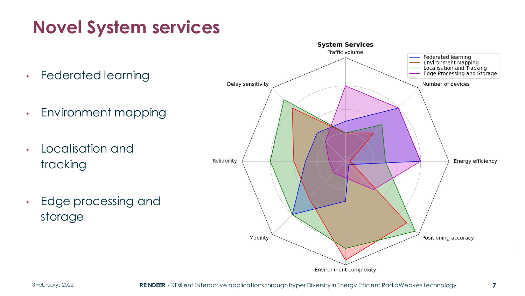# **Novel System services**

- Federated learning
- Environment mapping
- Localisation and tracking
- Edge processing and storage

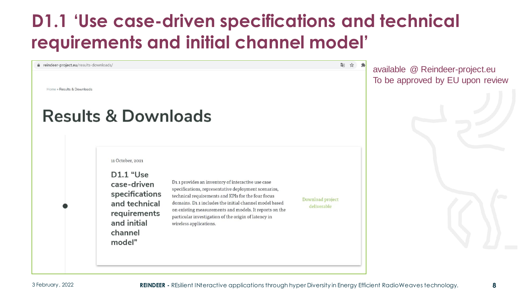### **D1.1 'Use case-driven specifications and technical requirements and initial channel model'**

#### le reindeer-project.eu/results-downloads/

Home » Results & Downloads

#### **Results & Downloads**

11 October, 2021

D1.1 "Use case-driven specifications and technical requirements and initial channel model"

D1.1 provides an inventory of interactive use case specifications, representative deployment scenarios, technical requirements and KPIs for the four focus domains. D1.1 includes the initial channel model based on existing measurements and models. It reports on the particular investigation of the origin of latency in wireless applications.

Download project deliverable

图 ☆ 』

available @ Reindeer-project.eu To be approved by EU upon review